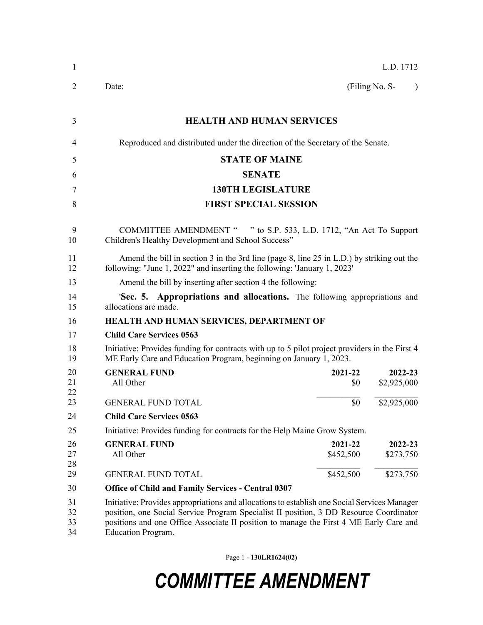| 1                    | L.D. 1712                                                                                                                                                                                                                                                                                                     |  |  |
|----------------------|---------------------------------------------------------------------------------------------------------------------------------------------------------------------------------------------------------------------------------------------------------------------------------------------------------------|--|--|
| 2                    | (Filing No. S-<br>Date:<br>$\lambda$                                                                                                                                                                                                                                                                          |  |  |
| 3                    | <b>HEALTH AND HUMAN SERVICES</b>                                                                                                                                                                                                                                                                              |  |  |
| 4                    | Reproduced and distributed under the direction of the Secretary of the Senate.                                                                                                                                                                                                                                |  |  |
| 5                    | <b>STATE OF MAINE</b>                                                                                                                                                                                                                                                                                         |  |  |
| 6                    | <b>SENATE</b>                                                                                                                                                                                                                                                                                                 |  |  |
| 7                    | <b>130TH LEGISLATURE</b>                                                                                                                                                                                                                                                                                      |  |  |
| 8                    | <b>FIRST SPECIAL SESSION</b>                                                                                                                                                                                                                                                                                  |  |  |
| 9<br>10              | COMMITTEE AMENDMENT " " to S.P. 533, L.D. 1712, "An Act To Support<br>Children's Healthy Development and School Success"                                                                                                                                                                                      |  |  |
| 11<br>12             | Amend the bill in section 3 in the 3rd line (page 8, line 25 in L.D.) by striking out the<br>following: "June 1, 2022" and inserting the following: 'January 1, 2023'                                                                                                                                         |  |  |
| 13                   | Amend the bill by inserting after section 4 the following:                                                                                                                                                                                                                                                    |  |  |
| 14<br>15             | 'Sec. 5. Appropriations and allocations. The following appropriations and<br>allocations are made.                                                                                                                                                                                                            |  |  |
| 16                   | HEALTH AND HUMAN SERVICES, DEPARTMENT OF                                                                                                                                                                                                                                                                      |  |  |
| 17                   | <b>Child Care Services 0563</b>                                                                                                                                                                                                                                                                               |  |  |
| 18<br>19             | Initiative: Provides funding for contracts with up to 5 pilot project providers in the First 4<br>ME Early Care and Education Program, beginning on January 1, 2023.                                                                                                                                          |  |  |
| 20<br>21<br>22       | <b>GENERAL FUND</b><br>2021-22<br>2022-23<br>All Other<br>\$2,925,000<br>\$0                                                                                                                                                                                                                                  |  |  |
| 23                   | \$2,925,000<br><b>GENERAL FUND TOTAL</b><br>\$0                                                                                                                                                                                                                                                               |  |  |
| 24                   | <b>Child Care Services 0563</b>                                                                                                                                                                                                                                                                               |  |  |
| 25                   | Initiative: Provides funding for contracts for the Help Maine Grow System.                                                                                                                                                                                                                                    |  |  |
| 26<br>27<br>28       | <b>GENERAL FUND</b><br>2021-22<br>2022-23<br>All Other<br>\$452,500<br>\$273,750                                                                                                                                                                                                                              |  |  |
| 29                   | \$452,500<br>\$273,750<br><b>GENERAL FUND TOTAL</b>                                                                                                                                                                                                                                                           |  |  |
| 30                   | <b>Office of Child and Family Services - Central 0307</b>                                                                                                                                                                                                                                                     |  |  |
| 31<br>32<br>33<br>34 | Initiative: Provides appropriations and allocations to establish one Social Services Manager<br>position, one Social Service Program Specialist II position, 3 DD Resource Coordinator<br>positions and one Office Associate II position to manage the First 4 ME Early Care and<br><b>Education Program.</b> |  |  |

Page 1 - **130LR1624(02)**

## *COMMITTEE AMENDMENT*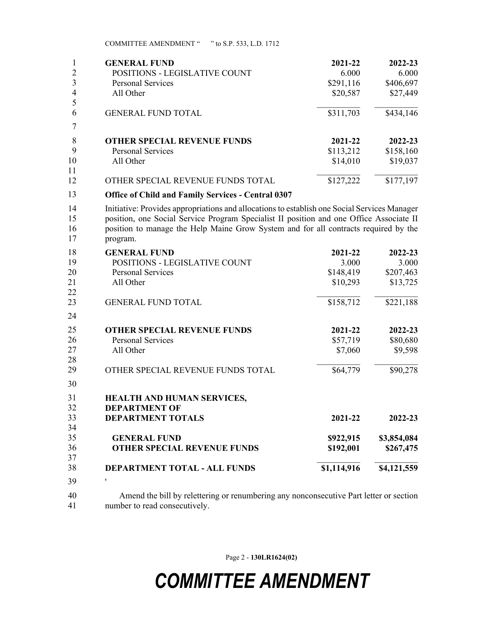COMMITTEE AMENDMENT " " to S.P. 533, L.D. 1712

| 1                    | <b>GENERAL FUND</b>                                                                                                                                                                                                                                                                        | 2021-22     | 2022-23               |  |
|----------------------|--------------------------------------------------------------------------------------------------------------------------------------------------------------------------------------------------------------------------------------------------------------------------------------------|-------------|-----------------------|--|
| 2                    | POSITIONS - LEGISLATIVE COUNT                                                                                                                                                                                                                                                              | 6.000       | 6.000                 |  |
| $\mathfrak{Z}$       | Personal Services                                                                                                                                                                                                                                                                          | \$291,116   | \$406,697             |  |
| $\overline{4}$<br>5  | All Other                                                                                                                                                                                                                                                                                  | \$20,587    | \$27,449              |  |
| 6                    | <b>GENERAL FUND TOTAL</b>                                                                                                                                                                                                                                                                  | \$311,703   | \$434,146             |  |
| 7                    |                                                                                                                                                                                                                                                                                            |             |                       |  |
| 8                    | <b>OTHER SPECIAL REVENUE FUNDS</b>                                                                                                                                                                                                                                                         | 2021-22     | 2022-23               |  |
| 9                    | <b>Personal Services</b>                                                                                                                                                                                                                                                                   | \$113,212   | \$158,160             |  |
| 10<br>11             | All Other                                                                                                                                                                                                                                                                                  | \$14,010    | \$19,037              |  |
| 12                   | OTHER SPECIAL REVENUE FUNDS TOTAL                                                                                                                                                                                                                                                          | \$127,222   | $\overline{$}177,197$ |  |
| 13                   | <b>Office of Child and Family Services - Central 0307</b>                                                                                                                                                                                                                                  |             |                       |  |
| 14<br>15<br>16<br>17 | Initiative: Provides appropriations and allocations to establish one Social Services Manager<br>position, one Social Service Program Specialist II position and one Office Associate II<br>position to manage the Help Maine Grow System and for all contracts required by the<br>program. |             |                       |  |
| 18                   | <b>GENERAL FUND</b>                                                                                                                                                                                                                                                                        | 2021-22     | 2022-23               |  |
| 19                   | POSITIONS - LEGISLATIVE COUNT                                                                                                                                                                                                                                                              | 3.000       | 3.000                 |  |
| 20                   | <b>Personal Services</b>                                                                                                                                                                                                                                                                   | \$148,419   | \$207,463             |  |
| 21<br>22             | All Other                                                                                                                                                                                                                                                                                  | \$10,293    | \$13,725              |  |
| 23                   | <b>GENERAL FUND TOTAL</b>                                                                                                                                                                                                                                                                  | \$158,712   | \$221,188             |  |
| 24                   |                                                                                                                                                                                                                                                                                            |             |                       |  |
| 25                   | <b>OTHER SPECIAL REVENUE FUNDS</b>                                                                                                                                                                                                                                                         | 2021-22     | 2022-23               |  |
| 26                   | <b>Personal Services</b>                                                                                                                                                                                                                                                                   | \$57,719    | \$80,680              |  |
| 27<br>28             | All Other                                                                                                                                                                                                                                                                                  | \$7,060     | \$9,598               |  |
| 29                   | OTHER SPECIAL REVENUE FUNDS TOTAL                                                                                                                                                                                                                                                          | \$64,779    | \$90,278              |  |
| 30                   |                                                                                                                                                                                                                                                                                            |             |                       |  |
| 31                   | <b>HEALTH AND HUMAN SERVICES,</b>                                                                                                                                                                                                                                                          |             |                       |  |
| 32<br>33             | <b>DEPARTMENT OF</b><br><b>DEPARTMENT TOTALS</b>                                                                                                                                                                                                                                           | 2021-22     | 2022-23               |  |
| 34                   |                                                                                                                                                                                                                                                                                            |             |                       |  |
| 35                   | <b>GENERAL FUND</b>                                                                                                                                                                                                                                                                        | \$922,915   | \$3,854,084           |  |
| 36                   | <b>OTHER SPECIAL REVENUE FUNDS</b>                                                                                                                                                                                                                                                         | \$192,001   | \$267,475             |  |
| 37                   |                                                                                                                                                                                                                                                                                            |             |                       |  |
| 38                   | DEPARTMENT TOTAL - ALL FUNDS                                                                                                                                                                                                                                                               | \$1,114,916 | \$4,121,559           |  |
| 39                   | $\pmb{\mathsf{I}}$                                                                                                                                                                                                                                                                         |             |                       |  |
| 40<br>41             | Amend the bill by relettering or renumbering any nonconsecutive Part letter or section<br>number to read consecutively.                                                                                                                                                                    |             |                       |  |

Page 2 - **130LR1624(02)**

## *COMMITTEE AMENDMENT*